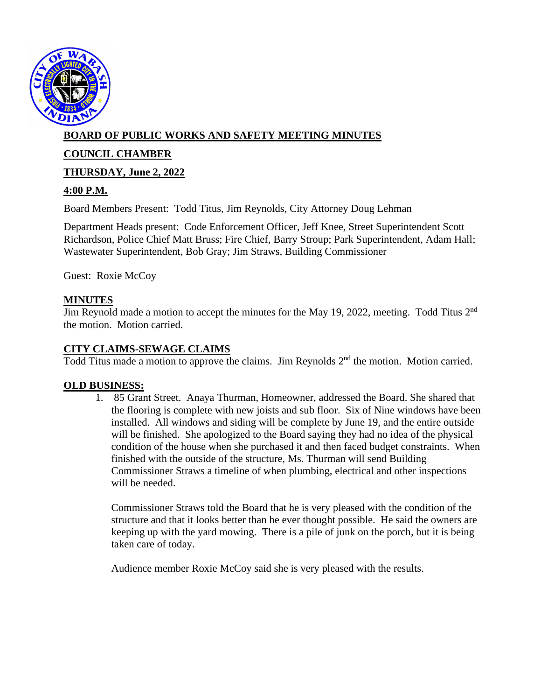

# **BOARD OF PUBLIC WORKS AND SAFETY MEETING MINUTES**

## **COUNCIL CHAMBER**

## **THURSDAY, June 2, 2022**

## **4:00 P.M.**

Board Members Present: Todd Titus, Jim Reynolds, City Attorney Doug Lehman

Department Heads present: Code Enforcement Officer, Jeff Knee, Street Superintendent Scott Richardson, Police Chief Matt Bruss; Fire Chief, Barry Stroup; Park Superintendent, Adam Hall; Wastewater Superintendent, Bob Gray; Jim Straws, Building Commissioner

Guest: Roxie McCoy

### **MINUTES**

Jim Reynold made a motion to accept the minutes for the May 19, 2022, meeting. Todd Titus 2<sup>nd</sup> the motion. Motion carried.

### **CITY CLAIMS-SEWAGE CLAIMS**

Todd Titus made a motion to approve the claims. Jim Reynolds 2<sup>nd</sup> the motion. Motion carried.

#### **OLD BUSINESS:**

1. 85 Grant Street. Anaya Thurman, Homeowner, addressed the Board. She shared that the flooring is complete with new joists and sub floor. Six of Nine windows have been installed. All windows and siding will be complete by June 19, and the entire outside will be finished. She apologized to the Board saying they had no idea of the physical condition of the house when she purchased it and then faced budget constraints. When finished with the outside of the structure, Ms. Thurman will send Building Commissioner Straws a timeline of when plumbing, electrical and other inspections will be needed.

Commissioner Straws told the Board that he is very pleased with the condition of the structure and that it looks better than he ever thought possible. He said the owners are keeping up with the yard mowing. There is a pile of junk on the porch, but it is being taken care of today.

Audience member Roxie McCoy said she is very pleased with the results.